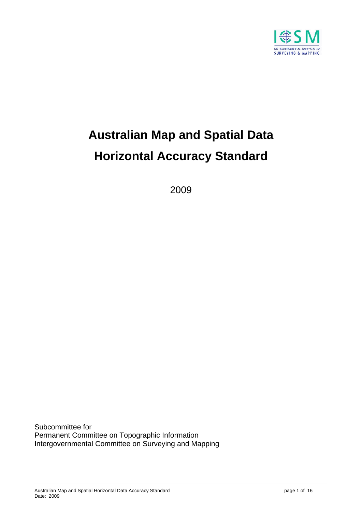

# **Australian Map and Spatial Data Horizontal Accuracy Standard**

2009

Subcommittee for Permanent Committee on Topographic Information Intergovernmental Committee on Surveying and Mapping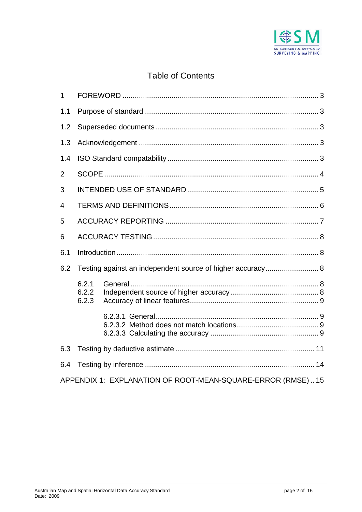

# **Table of Contents**

| 1              |                                                            |                                                            |  |
|----------------|------------------------------------------------------------|------------------------------------------------------------|--|
| 1.1            |                                                            |                                                            |  |
| 1.2            |                                                            |                                                            |  |
| 1.3            |                                                            |                                                            |  |
| 1.4            |                                                            |                                                            |  |
| 2              |                                                            |                                                            |  |
| 3              |                                                            |                                                            |  |
| $\overline{4}$ |                                                            |                                                            |  |
| 5              |                                                            |                                                            |  |
| 6              |                                                            |                                                            |  |
| 6.1            |                                                            |                                                            |  |
| 6.2            | Testing against an independent source of higher accuracy 8 |                                                            |  |
|                | 6.2.1<br>6.2.2<br>6.2.3                                    |                                                            |  |
|                |                                                            |                                                            |  |
| 6.3            |                                                            |                                                            |  |
| 6.4            |                                                            |                                                            |  |
|                |                                                            | APPENDIX 1: EXPLANATION OF ROOT-MEAN-SQUARE-ERROR (RMSE)15 |  |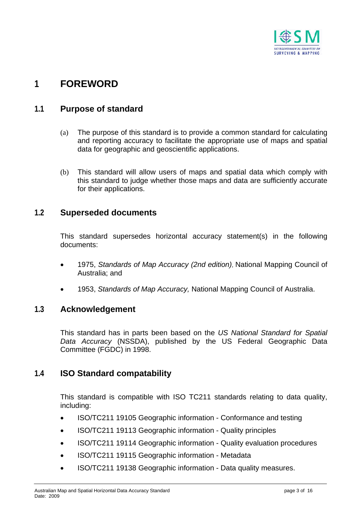

# <span id="page-2-0"></span>**1 FOREWORD**

# **1.1 Purpose of standard**

- (a) The purpose of this standard is to provide a common standard for calculating and reporting accuracy to facilitate the appropriate use of maps and spatial data for geographic and geoscientific applications.
- (b) This standard will allow users of maps and spatial data which comply with this standard to judge whether those maps and data are sufficiently accurate for their applications.

### **1.2 Superseded documents**

This standard supersedes horizontal accuracy statement(s) in the following documents:

- 1975, *Standards of Map Accuracy (2nd edition)*, National Mapping Council of Australia; and
- 1953, *Standards of Map Accuracy,* National Mapping Council of Australia.

### **1.3 Acknowledgement**

This standard has in parts been based on the *US National Standard for Spatial Data Accuracy* (NSSDA), published by the US Federal Geographic Data Committee (FGDC) in 1998.

### **1.4 ISO Standard compatability**

This standard is compatible with ISO TC211 standards relating to data quality, including:

- ISO/TC211 19105 Geographic information Conformance and testing
- ISO/TC211 19113 Geographic information Quality principles
- ISO/TC211 19114 Geographic information Quality evaluation procedures
- ISO/TC211 19115 Geographic information Metadata
- ISO/TC211 19138 Geographic information Data quality measures.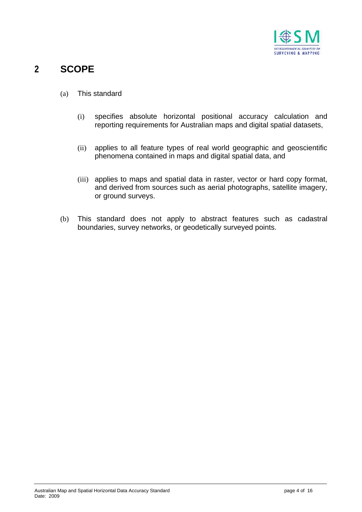

# <span id="page-3-0"></span>**2 SCOPE**

- (a) This standard
	- (i) specifies absolute horizontal positional accuracy calculation and reporting requirements for Australian maps and digital spatial datasets,
	- (ii) applies to all feature types of real world geographic and geoscientific phenomena contained in maps and digital spatial data, and
	- (iii) applies to maps and spatial data in raster, vector or hard copy format, and derived from sources such as aerial photographs, satellite imagery, or ground surveys.
- (b) This standard does not apply to abstract features such as cadastral boundaries, survey networks, or geodetically surveyed points.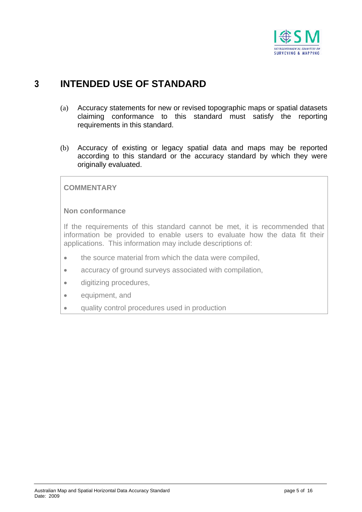

# <span id="page-4-0"></span>**3 INTENDED USE OF STANDARD**

- (a) Accuracy statements for new or revised topographic maps or spatial datasets claiming conformance to this standard must satisfy the reporting requirements in this standard.
- (b) Accuracy of existing or legacy spatial data and maps may be reported according to this standard or the accuracy standard by which they were originally evaluated.

#### **COMMENTARY**

#### **Non conformance**

If the requirements of this standard cannot be met, it is recommended that information be provided to enable users to evaluate how the data fit their applications. This information may include descriptions of:

- the source material from which the data were compiled,
- accuracy of ground surveys associated with compilation,
- digitizing procedures,
- equipment, and
- quality control procedures used in production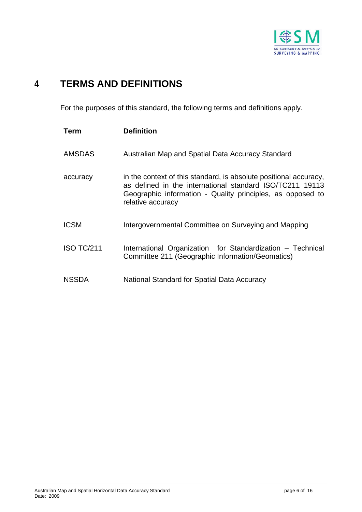

# <span id="page-5-0"></span>**4 TERMS AND DEFINITIONS**

For the purposes of this standard, the following terms and definitions apply.

| Term              | <b>Definition</b>                                                                                                                                                                                                |
|-------------------|------------------------------------------------------------------------------------------------------------------------------------------------------------------------------------------------------------------|
| <b>AMSDAS</b>     | Australian Map and Spatial Data Accuracy Standard                                                                                                                                                                |
| accuracy          | in the context of this standard, is absolute positional accuracy,<br>as defined in the international standard ISO/TC211 19113<br>Geographic information - Quality principles, as opposed to<br>relative accuracy |
| <b>ICSM</b>       | Intergovernmental Committee on Surveying and Mapping                                                                                                                                                             |
| <b>ISO TC/211</b> | International Organization for Standardization – Technical<br>Committee 211 (Geographic Information/Geomatics)                                                                                                   |
| <b>NSSDA</b>      | National Standard for Spatial Data Accuracy                                                                                                                                                                      |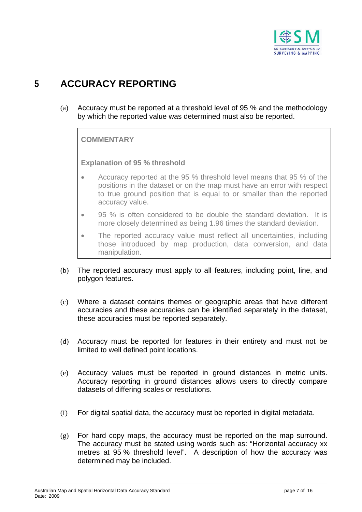

# <span id="page-6-0"></span>**5 ACCURACY REPORTING**

(a) Accuracy must be reported at a threshold level of 95 % and the methodology by which the reported value was determined must also be reported.

**COMMENTARY** 

**Explanation of 95 % threshold** 

- Accuracy reported at the 95 % threshold level means that 95 % of the positions in the dataset or on the map must have an error with respect to true ground position that is equal to or smaller than the reported accuracy value.
- 95 % is often considered to be double the standard deviation. It is more closely determined as being 1.96 times the standard deviation.
- The reported accuracy value must reflect all uncertainties, including those introduced by map production, data conversion, and data manipulation.
- (b) The reported accuracy must apply to all features, including point, line, and polygon features.
- (c) Where a dataset contains themes or geographic areas that have different accuracies and these accuracies can be identified separately in the dataset, these accuracies must be reported separately.
- (d) Accuracy must be reported for features in their entirety and must not be limited to well defined point locations.
- (e) Accuracy values must be reported in ground distances in metric units. Accuracy reporting in ground distances allows users to directly compare datasets of differing scales or resolutions.
- (f) For digital spatial data, the accuracy must be reported in digital metadata.
- (g) For hard copy maps, the accuracy must be reported on the map surround. The accuracy must be stated using words such as: "Horizontal accuracy xx metres at 95 % threshold level". A description of how the accuracy was determined may be included.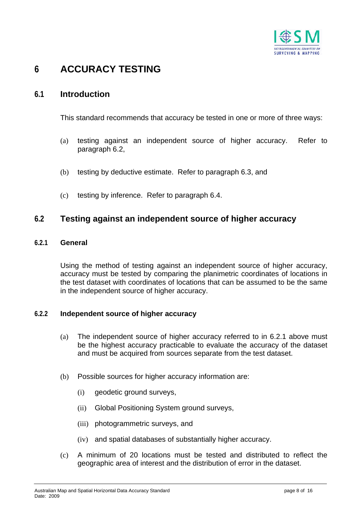

# <span id="page-7-0"></span>**6 ACCURACY TESTING**

## **6.1 Introduction**

This standard recommends that accuracy be tested in one or more of three ways:

- (a) testing against an independent source of higher accuracy. Refer to paragraph [6.2](#page-7-1),
- (b) testing by deductive estimate. Refer to paragraph [6.3](#page-10-1), and
- (c) testing by inference. Refer to paragraph [6.4](#page-13-1).

### <span id="page-7-1"></span>**6.2 Testing against an independent source of higher accuracy**

#### <span id="page-7-2"></span>**6.2.1 General**

Using the method of testing against an independent source of higher accuracy, accuracy must be tested by comparing the planimetric coordinates of locations in the test dataset with coordinates of locations that can be assumed to be the same in the independent source of higher accuracy.

#### **6.2.2 Independent source of higher accuracy**

- (a) The independent source of higher accuracy referred to in [6.2.1](#page-7-2) above must be the highest accuracy practicable to evaluate the accuracy of the dataset and must be acquired from sources separate from the test dataset.
- (b) Possible sources for higher accuracy information are:
	- (i) geodetic ground surveys,
	- (ii) Global Positioning System ground surveys,
	- (iii) photogrammetric surveys, and
	- (iv) and spatial databases of substantially higher accuracy.
- (c) A minimum of 20 locations must be tested and distributed to reflect the geographic area of interest and the distribution of error in the dataset.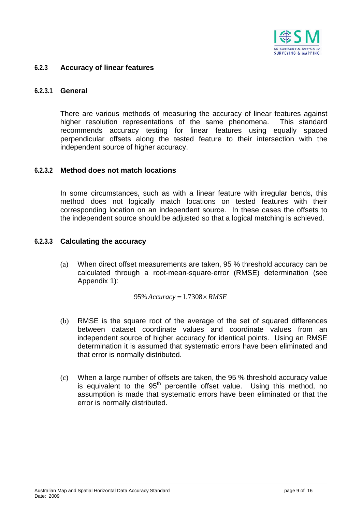

#### <span id="page-8-0"></span>**6.2.3 Accuracy of linear features**

#### **6.2.3.1 General**

There are various methods of measuring the accuracy of linear features against higher resolution representations of the same phenomena. This standard recommends accuracy testing for linear features using equally spaced perpendicular offsets along the tested feature to their intersection with the independent source of higher accuracy.

#### **6.2.3.2 Method does not match locations**

In some circumstances, such as with a linear feature with irregular bends, this method does not logically match locations on tested features with their corresponding location on an independent source. In these cases the offsets to the independent source should be adjusted so that a logical matching is achieved.

#### **6.2.3.3 Calculating the accuracy**

(a) When direct offset measurements are taken, 95 % threshold accuracy can be calculated through a root-mean-square-error (RMSE) determination (see [Appendix 1\)](#page-14-1):

 $95\%$  Accuracy = 1.7308  $\times$  RMSE

- (b) RMSE is the square root of the average of the set of squared differences between dataset coordinate values and coordinate values from an independent source of higher accuracy for identical points. Using an RMSE determination it is assumed that systematic errors have been eliminated and that error is normally distributed.
- (c) When a large number of offsets are taken, the 95 % threshold accuracy value is equivalent to the  $95<sup>th</sup>$  percentile offset value. Using this method, no assumption is made that systematic errors have been eliminated or that the error is normally distributed.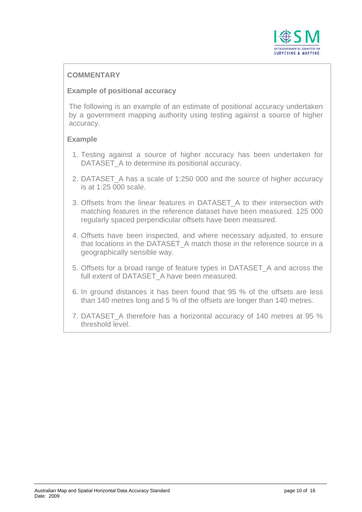

### **COMMENTARY**

#### **Example of positional accuracy**

The following is an example of an estimate of positional accuracy undertaken by a government mapping authority using testing against a source of higher accuracy.

#### **Example**

- 1. Testing against a source of higher accuracy has been undertaken for DATASET A to determine its positional accuracy.
- 2. DATASET A has a scale of 1:250 000 and the source of higher accuracy is at 1:25 000 scale.
- 3. Offsets from the linear features in DATASET A to their intersection with matching features in the reference dataset have been measured. 125 000 regularly spaced perpendicular offsets have been measured.
- 4. Offsets have been inspected, and where necessary adjusted, to ensure that locations in the DATASET\_A match those in the reference source in a geographically sensible way.
- 5. Offsets for a broad range of feature types in DATASET\_A and across the full extent of DATASET A have been measured.
- 6. In ground distances it has been found that 95 % of the offsets are less than 140 metres long and 5 % of the offsets are longer than 140 metres.
- 7. DATASET A therefore has a horizontal accuracy of 140 metres at 95 % threshold level.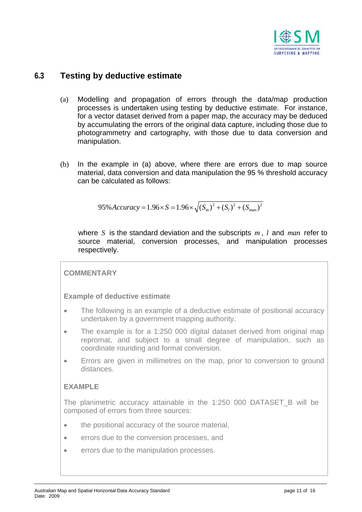

### <span id="page-10-2"></span><span id="page-10-0"></span>**6.3 Testing by deductive estimate**

- (a) Modelling and propagation of errors through the data/map production processes is undertaken using testing by deductive estimate. For instance, for a vector dataset derived from a paper map, the accuracy may be deduced by accumulating the errors of the original data capture, including those due to photogrammetry and cartography, with those due to data conversion and manipulation.
- (b) In the example in [\(a\)](#page-10-2) above, where there are errors due to map source material, data conversion and data manipulation the 95 % threshold accuracy can be calculated as follows:

$$
95\% Accuracy = 1.96 \times S = 1.96 \times \sqrt{(S_m)^2 + (S_l)^2 + (S_{man})^2}
$$

where S is the standard deviation and the subscripts  $m$ ,  $l$  and  $man$  refer to source material, conversion processes, and manipulation processes respectively.

#### **COMMENTARY**

#### **Example of deductive estimate**

- The following is an example of a deductive estimate of positional accuracy undertaken by a government mapping authority.
- The example is for a 1:250 000 digital dataset derived from original map repromat, and subject to a small degree of manipulation, such as coordinate rounding and format conversion.
- <span id="page-10-1"></span>• Errors are given in millimetres on the map, prior to conversion to ground distances.

#### **EXAMPLE**

The planimetric accuracy attainable in the 1:250 000 DATASET\_B will be composed of errors from three sources:

- the positional accuracy of the source material,
- errors due to the conversion processes, and
- errors due to the manipulation processes.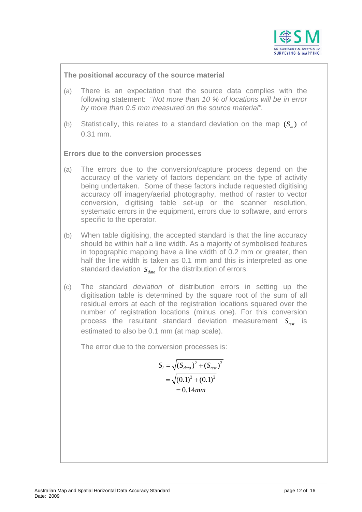

#### **The positional accuracy of the source material**

- (a) There is an expectation that the source data complies with the following statement: "*Not more than 10 % of locations will be in error by more than 0.5 mm measured on the source material".*
- (b) Statistically, this relates to a standard deviation on the map  $(S_m)$  of 0.31 mm.

#### **Errors due to the conversion processes**

- (a) The errors due to the conversion/capture process depend on the accuracy of the variety of factors dependant on the type of activity being undertaken. Some of these factors include requested digitising accuracy off imagery/aerial photography, method of raster to vector conversion, digitising table set-up or the scanner resolution, systematic errors in the equipment, errors due to software, and errors specific to the operator.
- (b) When table digitising, the accepted standard is that the line accuracy should be within half a line width. As a majority of symbolised features in topographic mapping have a line width of 0.2 mm or greater, then half the line width is taken as 0.1 mm and this is interpreted as one standard deviation  $S_{\text{data}}$  for the distribution of errors.
- (c) The standard *deviation* of distribution errors in setting up the digitisation table is determined by the square root of the sum of all residual errors at each of the registration locations squared over the number of registration locations (minus one). For this conversion process the resultant standard deviation measurement  $S_{\text{test}}$  is estimated to also be 0.1 mm (at map scale).

The error due to the conversion processes is:

$$
S_{l} = \sqrt{(S_{data})^{2} + (S_{test})^{2}}
$$
  
=  $\sqrt{(0.1)^{2} + (0.1)^{2}}$   
= 0.14mm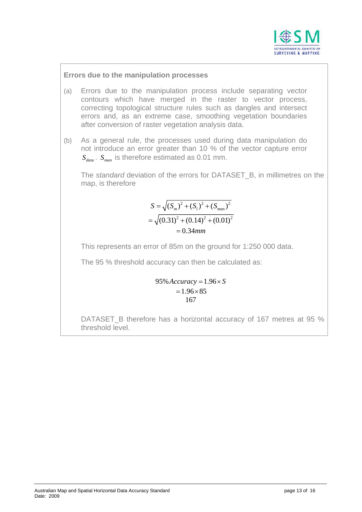

#### **Errors due to the manipulation processes**

- (a) Errors due to the manipulation process include separating vector contours which have merged in the raster to vector process, correcting topological structure rules such as dangles and intersect errors and, as an extreme case, smoothing vegetation boundaries after conversion of raster vegetation analysis data.
- (b) As a general rule, the processes used during data manipulation do not introduce an error greater than 10 % of the vector capture error . *data S man S* is therefore estimated as 0.01 mm.

The *standard* deviation of the errors for DATASET\_B, in millimetres on the map, is therefore

$$
S = \sqrt{(S_m)^2 + (S_l)^2 + (S_{man})^2}
$$
  
=  $\sqrt{(0.31)^2 + (0.14)^2 + (0.01)^2}$   
= 0.34mm

This represents an error of 85m on the ground for 1:250 000 data.

The 95 % threshold accuracy can then be calculated as:

$$
95\% Accuracy = 1.96 \times S
$$
  

$$
= 1.96 \times 85
$$
  

$$
167
$$

DATASET\_B therefore has a horizontal accuracy of 167 metres at 95 % threshold level.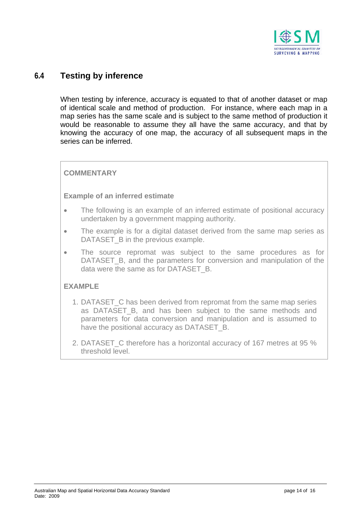

### <span id="page-13-0"></span>**6.4 Testing by inference**

When testing by inference, accuracy is equated to that of another dataset or map of identical scale and method of production. For instance, where each map in a map series has the same scale and is subject to the same method of production it would be reasonable to assume they all have the same accuracy, and that by knowing the accuracy of one map, the accuracy of all subsequent maps in the series can be inferred.

#### **COMMENTARY**

#### **Example of an inferred estimate**

- The following is an example of an inferred estimate of positional accuracy undertaken by a government mapping authority.
- The example is for a digital dataset derived from the same map series as DATASET B in the previous example.
- The source repromat was subject to the same procedures as for DATASET B, and the parameters for conversion and manipulation of the data were the same as for DATASET\_B.

#### **EXAMPLE**

- 1. DATASET\_C has been derived from repromat from the same map series as DATASET\_B, and has been subject to the same methods and parameters for data conversion and manipulation and is assumed to have the positional accuracy as DATASET B.
- <span id="page-13-1"></span>2. DATASET C therefore has a horizontal accuracy of 167 metres at 95 % threshold level.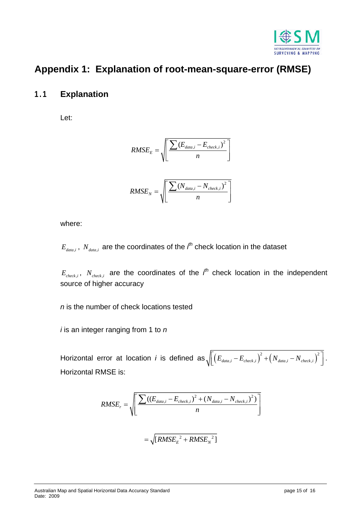

# <span id="page-14-1"></span><span id="page-14-0"></span>**Appendix 1: Explanation of root-mean-square-error (RMSE)**

# **1.1 Explanation**

Let:

$$
RMSE_{E} = \sqrt{\left[ \frac{\sum (E_{data,i} - E_{check,i})^{2}}{n} \right]}
$$

$$
RMSE_{N} = \sqrt{\left[ \frac{\sum (N_{data,i} - N_{check,i})^{2}}{n} \right]}
$$

where:

 $E_{data,i}$ ,  $N_{data,i}$  are the coordinates of the  $i^{th}$  check location in the dataset

*N*

 $E_{check,i}$ ,  $N_{check,i}$  are the coordinates of the  $i<sup>th</sup>$  check location in the independent source of higher accuracy

*n*

*n* is the number of check locations tested

*i* is an integer ranging from 1 to *n*

Horizontal error at location *i* is defined as  $\sqrt{\left[ \left(E_{\textit{data,i}}-E_{\textit{check,i}} \right)^2 + \left(N_{\textit{data,i}}-N_{\textit{check,i}} \right)^2 \right] }$ . Horizontal RMSE is:

$$
RMSE_r = \sqrt{\left[ \frac{\sum ((E_{data,i} - E_{check,i})^2 + (N_{data,i} - N_{check,i})^2)}{n} \right]}
$$

$$
= \sqrt{[RMSE_E^2 + RMSE_N^2]}
$$